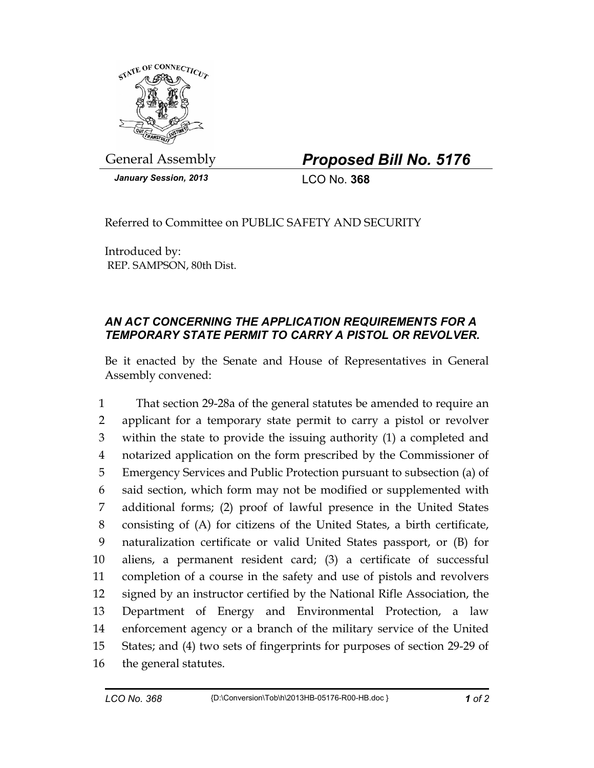

General Assembly *Proposed Bill No. 5176* 

*January Session, 2013* LCO No. **368**

Referred to Committee on PUBLIC SAFETY AND SECURITY

Introduced by: REP. SAMPSON, 80th Dist.

## *AN ACT CONCERNING THE APPLICATION REQUIREMENTS FOR A TEMPORARY STATE PERMIT TO CARRY A PISTOL OR REVOLVER.*

Be it enacted by the Senate and House of Representatives in General Assembly convened:

1 That section 29-28a of the general statutes be amended to require an 2 applicant for a temporary state permit to carry a pistol or revolver 3 within the state to provide the issuing authority (1) a completed and 4 notarized application on the form prescribed by the Commissioner of 5 Emergency Services and Public Protection pursuant to subsection (a) of 6 said section, which form may not be modified or supplemented with 7 additional forms; (2) proof of lawful presence in the United States 8 consisting of (A) for citizens of the United States, a birth certificate, 9 naturalization certificate or valid United States passport, or (B) for 10 aliens, a permanent resident card; (3) a certificate of successful 11 completion of a course in the safety and use of pistols and revolvers 12 signed by an instructor certified by the National Rifle Association, the 13 Department of Energy and Environmental Protection, a law 14 enforcement agency or a branch of the military service of the United 15 States; and (4) two sets of fingerprints for purposes of section 29-29 of 16 the general statutes.